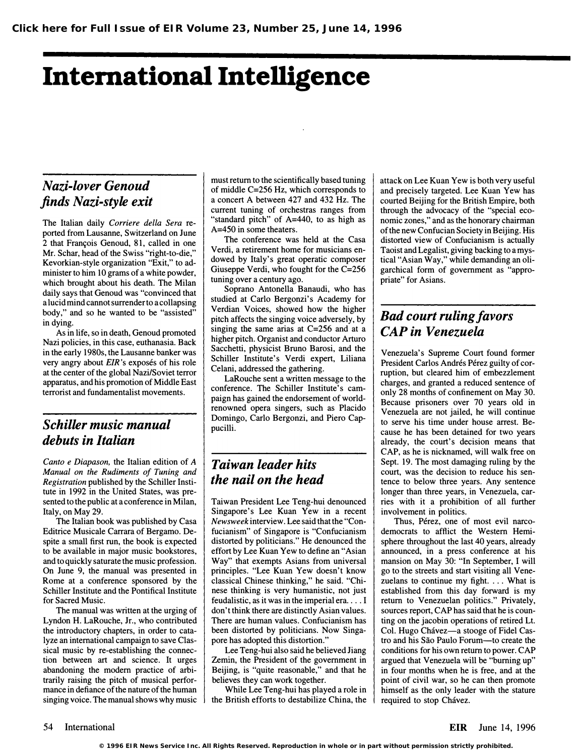# International Intelligence

### Nazi-lover Genoud finds Nazi-style exit

The Italian daily Corriere della Sera reported from Lausanne, Switzerland on June 2 that Fran�ois Genoud, 81, called in one Mr. Schar, head of the Swiss "right-to-die," Kevorkian-style organization "Exit," to administer to him 10 grams of a white powder, which brought about his death. The Milan daily says that Genoud was "convinced that a lucid mind cannot surrender to a collapsing body," and so he wanted to be "assisted" in dying.

As in life, so in death, Genoud promoted Nazi policies, in this case, euthanasia. Back in the early 1980s, the Lausanne banker was very angry about *EIR*'s exposés of his role at the center of the global Nazi/Soviet terror apparatus, and his promotion of Middle East terrorist and fundamentalist movements.

### Schiller music manual debuts in Italian

Canto e Diapason, the Italian edition of A Manual on the Rudiments of Tuning and Registration published by the Schiller Institute in 1992 in the United States, was presented to the public at a conference in Milan, Italy, on May 29.

The Italian book was published by Casa Editrice Musicale Carrara of Bergamo. Despite a small first run, the book is expected to be available in major music bookstores, and to quickly saturate the music profession. On June 9, the manual was presented in Rome at a conference sponsored by the Schiller Institute and the Pontifical Institute for Sacred Music.

The manual was written at the urging of Lyndon H. LaRouche, Jr., who contributed the introductory chapters, in order to catalyze an international campaign to save Classical music by re-establishing the connection between art and science. It urges abandoning the modern practice of arbitrarily raising the pitch of musical performance in defiance of the nature of the human singing voice. The manual shows why music must return to the scientifically based tuning of middle C=256 Hz, which corresponds to a concert A between 427 and 432 Hz. The current tuning of orchestras ranges from "standard pitch" of A=440, to as high as A=450 in some theaters.

The conference was held at the Casa Verdi, a retirement home for musicians endowed by Italy's great operatic composer Giuseppe Verdi, who fought for the C=256 tuning over a century ago.

Soprano Antonella Banaudi, who has studied at Carlo Bergonzi's Academy for Verdian Voices, showed how the higher pitch affects the singing voice adversely, by singing the, same arias at C=256 and at a higher pitch. Organist and conductor Arturo Sacchetti, physicist Bruno Barosi, and the Schiller Institute's Verdi expert, Liliana Celani, addressed the gathering.

LaRouche sent a written message to the conference. The Schiller Institute's campaign has gained the endorsement of worldrenowned opera singers, such as Placido Domingo, Carlo Bergonzi, and Piero Cappucilli.

#### Taiwan leader hits the nail on the head

Taiwan President Lee Teng-hui denounced Singapore's Lee Kuan Yew in a recent Newsweek interview. Lee said that the "Confucianism" of Singapore is "Confucianism distorted by politicians." He denounced the effort by Lee Kuan Yew to define an "Asian Way" that exempts Asians from universal principles. "Lee Kuan Yew doesn't know classical Chinese thinking," he said. "Chinese thinking is very humanistic, not just feudalistic, as it was in the imperial era . . .. I don't think there are distinctly Asian values. There are human values. Confucianism has been distorted by politicians. Now Singapore has adopted this distortion."

Lee Teng-hui also said he believed Jiang Zemin, the President of the government in Beijing, is "quite reasonable," and that he believes they can work together.

While Lee Teng-hui has played a role in the British efforts to destabilize China, the attack on Lee Kuan Yew is both very useful and precisely targeted. Lee Kuan Yew has courted Beijing for the British Empire, both through the advocacy of the "special economic zones," and as the honorary chairman of the new Confucian Society in Beijing. His distorted view of Confucianism is actually Taoist and Legalist, giving backing to a mystical "Asian Way," while demanding an oligarchical form of government as "appropriate" for Asians.

### Bad court ruling favors CAP in Venezuela

Venezuela's Supreme Court found former President Carlos Andrés Pérez guilty of corruption, but cleared him of embezzlement charges, and granted a reduced sentence of only 28 months of confinement on May 30. Because prisoners over 70 years old in Venezuela are not jailed, he will continue to serve his time under house arrest. Because he has been detained for two years already, the court's decision means that CAP, as he is nicknamed, will walk free on Sept. 19. The most damaging ruling by the court, was the decision to reduce his sentence to below three years. Any sentence longer than three years, in Venezuela, carries with it a prohibition of all further involvement in politics.

Thus, Pérez, one of most evil narcodemocrats to afflict the Western Hemisphere throughout the last 40 years, already announced, in a press conference at his mansion on May 30: "In September, I will go to the streets, and start visiting all Venezuelans to continue my fight. . . . What is established from this day forward is my return to Venezuelan politics." Privately, sources report, CAP has said that he is counting on the jacobin operations of retired Lt. Col. Hugo Chávez-a stooge of Fidel Castro and his Sao Paulo Forum-to create the conditions for his own return to power. CAP argued that Venezuela will be "burning up" in four months when he is free, and at the point of civil war, so he can then promote himself as the only leader with the stature required to stop Chávez.